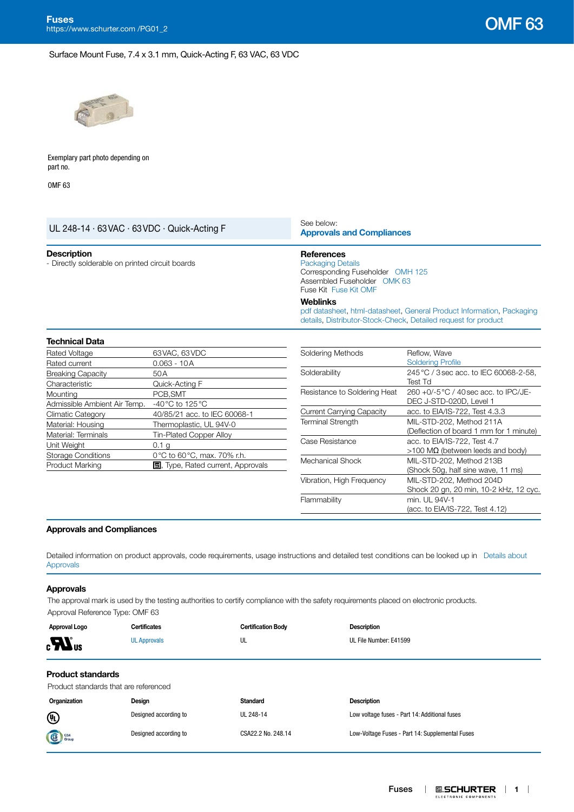### Surface Mount Fuse, 7.4 x 3.1 mm, Quick-Acting F, 63 VAC, 63 VDC



Exemplary part photo depending on part no.

OMF 63

| See below:                                                             | <b>Approvals and Compliances</b>                                                                                                        |  |  |  |  |
|------------------------------------------------------------------------|-----------------------------------------------------------------------------------------------------------------------------------------|--|--|--|--|
| <b>References</b><br><b>Packaging Details</b><br>Fuse Kit Fuse Kit OMF | Corresponding Fuseholder OMH 125<br>Assembled Fuseholder OMK 63                                                                         |  |  |  |  |
| <b>Weblinks</b>                                                        | pdf datasheet, html-datasheet, General Product Information, Packaging<br>details. Distributor-Stock-Check. Detailed request for product |  |  |  |  |
|                                                                        |                                                                                                                                         |  |  |  |  |
| Soldering Methods                                                      | Reflow, Wave<br><b>Soldering Profile</b><br>245 °C / 3 sec acc. to IEC 60068-2-58,                                                      |  |  |  |  |
|                                                                        |                                                                                                                                         |  |  |  |  |
| Solderability                                                          |                                                                                                                                         |  |  |  |  |
|                                                                        | Test Td                                                                                                                                 |  |  |  |  |
|                                                                        | 260 +0/-5 °C / 40 sec acc. to IPC/JE-                                                                                                   |  |  |  |  |
|                                                                        | DEC J-STD-020D, Level 1                                                                                                                 |  |  |  |  |
|                                                                        | acc. to EIA/IS-722, Test 4.3.3                                                                                                          |  |  |  |  |
|                                                                        | MIL-STD-202, Method 211A                                                                                                                |  |  |  |  |
|                                                                        | (Deflection of board 1 mm for 1 minute)                                                                                                 |  |  |  |  |
|                                                                        | acc. to EIA/IS-722, Test 4.7<br>$>100$ MΩ (between leeds and body)<br>MILL OTD 000 Mothod 010D                                          |  |  |  |  |
|                                                                        |                                                                                                                                         |  |  |  |  |
|                                                                        | Resistance to Soldering Heat<br><b>Current Carrying Capacity</b><br><b>Terminal Strength</b><br>Case Resistance<br>Machanical Chaoli    |  |  |  |  |

| Current Carrying Capacity | acc. to EIA/IS-722, Test 4.3.3          |
|---------------------------|-----------------------------------------|
| <b>Terminal Strength</b>  | MIL-STD-202, Method 211A                |
|                           | (Deflection of board 1 mm for 1 minute) |
| Case Resistance           | acc. to EIA/IS-722, Test 4.7            |
|                           | $>100$ MΩ (between leeds and body)      |
| Mechanical Shock          | MIL-STD-202, Method 213B                |
|                           | (Shock 50g, half sine wave, 11 ms)      |
| Vibration, High Frequency | MIL-STD-202, Method 204D                |
|                           | Shock 20 gn, 20 min, 10-2 kHz, 12 cyc.  |
| Flammability              | min. UL 94V-1                           |
|                           | (acc. to EIA/IS-722, Test 4.12)         |

### <span id="page-0-0"></span>**Approvals and Compliances**

Detailed information on product approvals, code requirements, usage instructions and detailed test conditions can be looked up in [Details about](https://www.schurter.com/en/Components/Connectors/General-Product-Information#1.1)  [Approvals](https://www.schurter.com/en/Components/Connectors/General-Product-Information#1.1)

### **Approvals**

The approval mark is used by the testing authorities to certify compliance with the safety requirements placed on electronic products. Approval Reference Type: OMF 63

Product Marking **5**, Type, Rated current, Approvals

| Approval Logo      | <b>Certificates</b> | <b>Certification Body</b> | <b>Description</b>     |
|--------------------|---------------------|---------------------------|------------------------|
| $\boldsymbol{H}_3$ | <b>UL Approvals</b> | UL                        | UL File Number: E41599 |
|                    |                     |                           |                        |

## **Product standards**

Product standards that are referenced

| Organization   | Design                | Standard           | <b>Description</b>                              |
|----------------|-----------------------|--------------------|-------------------------------------------------|
| $^{\circledR}$ | Designed according to | UL 248-14          | Low voltage fuses - Part 14: Additional fuses   |
| <b>SE</b> CSA  | Designed according to | CSA22.2 No. 248.14 | Low-Voltage Fuses - Part 14: Supplemental Fuses |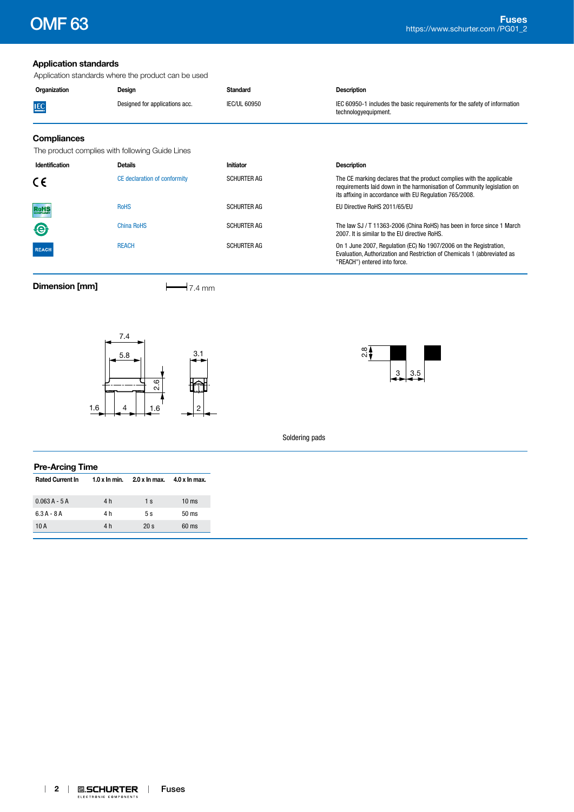# **Application standards**

Application standards where the product can be used

| Organization       | Design                         | Standard     | <b>Description</b>                                                                                |
|--------------------|--------------------------------|--------------|---------------------------------------------------------------------------------------------------|
| <b>IEC</b>         | Designed for applications acc. | IEC/UL 60950 | IEC 60950-1 includes the basic requirements for the safety of information<br>technologyequipment. |
| <b>Compliances</b> |                                |              |                                                                                                   |

The product complies with following Guide Lines

| Identification | <b>Details</b>               | Initiator          | <b>Description</b>                                                                                                                                                                                          |  |  |  |  |
|----------------|------------------------------|--------------------|-------------------------------------------------------------------------------------------------------------------------------------------------------------------------------------------------------------|--|--|--|--|
| CE             | CE declaration of conformity | <b>SCHURTER AG</b> | The CE marking declares that the product complies with the applicable<br>requirements laid down in the harmonisation of Community legislation on<br>its affixing in accordance with EU Regulation 765/2008. |  |  |  |  |
| RoHS           | <b>RoHS</b>                  | <b>SCHURTER AG</b> | EU Directive RoHS 2011/65/EU                                                                                                                                                                                |  |  |  |  |
| $\bigcirc$     | <b>China RoHS</b>            | <b>SCHURTER AG</b> | The law SJ / T 11363-2006 (China RoHS) has been in force since 1 March<br>2007. It is similar to the EU directive RoHS.                                                                                     |  |  |  |  |
| <b>REACH</b>   | <b>REACH</b>                 | <b>SCHURTER AG</b> | On 1 June 2007, Regulation (EC) No 1907/2006 on the Registration,<br>Evaluation, Authorization and Restriction of Chemicals 1 (abbreviated as<br>"REACH") entered into force.                               |  |  |  |  |

**Dimension [mm]**  $\qquad \qquad \qquad$  7.4 mm





Soldering pads

| <b>Pre-Arcing Time</b>  |                |                 |                 |  |  |  |
|-------------------------|----------------|-----------------|-----------------|--|--|--|
| <b>Rated Current In</b> | $1.0x$ In min. | $2.0 x$ In max. | 4.0 x ln max.   |  |  |  |
| $0.063A - 5A$           | 4 h            | 1 <sub>s</sub>  | $10 \text{ ms}$ |  |  |  |
| $6.3A - 8A$             | 4 h            | 5s              | $50 \text{ ms}$ |  |  |  |
| 10 A                    | 4 h            | 20 <sub>s</sub> | $60 \text{ ms}$ |  |  |  |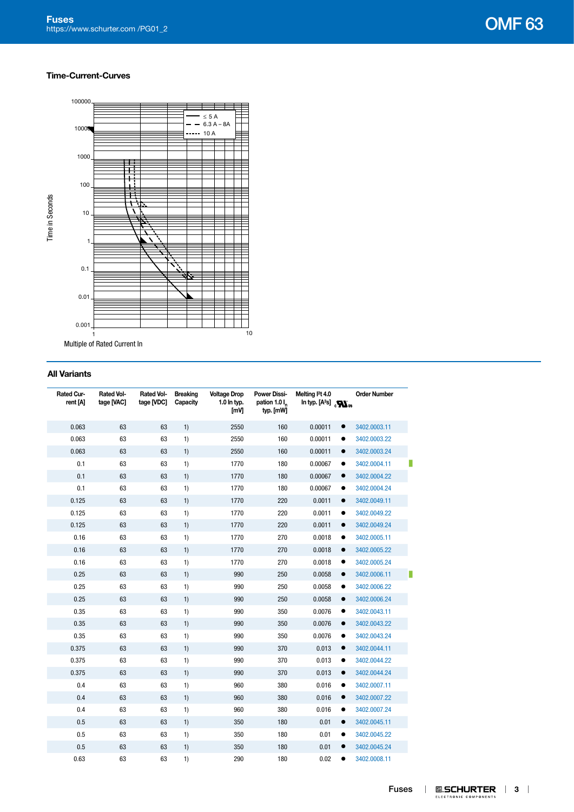### **Time-Current-Curves**



Multiple of Rated Current In

## **All Variants**

| Rated Cur-<br>rent [A] | <b>Rated Vol-</b><br>tage [VAC] | <b>Rated Vol-</b><br>tage [VDC] | <b>Breaking</b><br>Capacity | <b>Voltage Drop</b><br>1.0 In typ.<br>[mV] | <b>Power Dissi-</b><br>pation 1.0 l <sub>n</sub><br>typ. [mW] | Melting I <sup>2</sup> t 4.0<br>In typ. $[A^2s]$ $_{c}\mathbf{W}_{us}$ | <b>Order Number</b> |
|------------------------|---------------------------------|---------------------------------|-----------------------------|--------------------------------------------|---------------------------------------------------------------|------------------------------------------------------------------------|---------------------|
| 0.063                  | 63                              | 63                              | 1)                          | 2550                                       | 160                                                           | 0.00011<br>$\bullet$                                                   | 3402.0003.11        |
| 0.063                  | 63                              | 63                              | 1)                          | 2550                                       | 160                                                           | 0.00011                                                                | 3402.0003.22        |
| 0.063                  | 63                              | 63                              | 1)                          | 2550                                       | 160                                                           | 0.00011<br>$\bullet$                                                   | 3402.0003.24        |
| 0.1                    | 63                              | 63                              | 1)                          | 1770                                       | 180                                                           | 0.00067<br>٠                                                           | 3402.0004.11        |
| 0.1                    | 63                              | 63                              | 1)                          | 1770                                       | 180                                                           | 0.00067<br>$\bullet$                                                   | 3402.0004.22        |
| 0.1                    | 63                              | 63                              | 1)                          | 1770                                       | 180                                                           | 0.00067                                                                | 3402.0004.24        |
| 0.125                  | 63                              | 63                              | 1)                          | 1770                                       | 220                                                           | 0.0011<br>$\bullet$                                                    | 3402.0049.11        |
| 0.125                  | 63                              | 63                              | 1)                          | 1770                                       | 220                                                           | 0.0011<br>٠                                                            | 3402.0049.22        |
| 0.125                  | 63                              | 63                              | 1)                          | 1770                                       | 220                                                           | 0.0011<br>$\bullet$                                                    | 3402.0049.24        |
| 0.16                   | 63                              | 63                              | 1)                          | 1770                                       | 270                                                           | 0.0018<br>٠                                                            | 3402.0005.11        |
| 0.16                   | 63                              | 63                              | 1)                          | 1770                                       | 270                                                           | 0.0018<br>$\bullet$                                                    | 3402.0005.22        |
| 0.16                   | 63                              | 63                              | 1)                          | 1770                                       | 270                                                           | 0.0018<br>٠                                                            | 3402.0005.24        |
| 0.25                   | 63                              | 63                              | 1)                          | 990                                        | 250                                                           | 0.0058<br>$\bullet$                                                    | 3402.0006.11        |
| 0.25                   | 63                              | 63                              | 1)                          | 990                                        | 250                                                           | 0.0058<br>$\bullet$                                                    | 3402.0006.22        |
| 0.25                   | 63                              | 63                              | 1)                          | 990                                        | 250                                                           | 0.0058<br>$\bullet$                                                    | 3402.0006.24        |
| 0.35                   | 63                              | 63                              | 1)                          | 990                                        | 350                                                           | 0.0076<br>$\bullet$                                                    | 3402.0043.11        |
| 0.35                   | 63                              | 63                              | 1)                          | 990                                        | 350                                                           | 0.0076<br>$\bullet$                                                    | 3402.0043.22        |
| 0.35                   | 63                              | 63                              | 1)                          | 990                                        | 350                                                           | 0.0076<br>٠                                                            | 3402.0043.24        |
| 0.375                  | 63                              | 63                              | 1)                          | 990                                        | 370                                                           | 0.013<br>$\bullet$                                                     | 3402.0044.11        |
| 0.375                  | 63                              | 63                              | 1)                          | 990                                        | 370                                                           | 0.013<br>$\bullet$                                                     | 3402.0044.22        |
| 0.375                  | 63                              | 63                              | 1)                          | 990                                        | 370                                                           | 0.013<br>$\bullet$                                                     | 3402.0044.24        |
| 0.4                    | 63                              | 63                              | 1)                          | 960                                        | 380                                                           | 0.016<br>$\bullet$                                                     | 3402.0007.11        |
| 0.4                    | 63                              | 63                              | 1)                          | 960                                        | 380                                                           | 0.016<br>$\bullet$                                                     | 3402.0007.22        |
| 0.4                    | 63                              | 63                              | 1)                          | 960                                        | 380                                                           | 0.016<br>٠                                                             | 3402.0007.24        |
| 0.5                    | 63                              | 63                              | 1)                          | 350                                        | 180                                                           | 0.01<br>$\bullet$                                                      | 3402.0045.11        |
| 0.5                    | 63                              | 63                              | 1)                          | 350                                        | 180                                                           | 0.01<br>٠                                                              | 3402.0045.22        |
| 0.5                    | 63                              | 63                              | 1)                          | 350                                        | 180                                                           | 0.01<br>$\bullet$                                                      | 3402.0045.24        |
| 0.63                   | 63                              | 63                              | 1)                          | 290                                        | 180                                                           | 0.02<br>$\bullet$                                                      | 3402.0008.11        |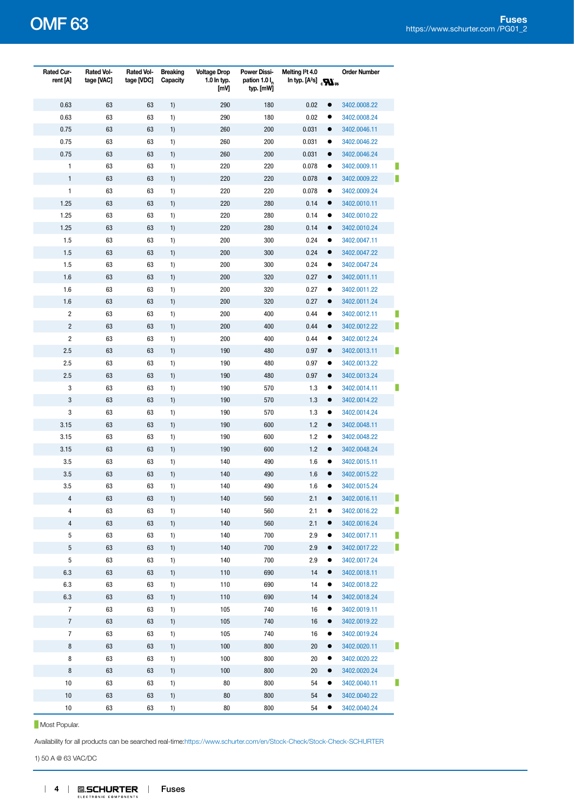| Rated Cur-<br>rent [A]  | <b>Rated Vol-</b><br>tage [VAC] | <b>Rated Vol-</b><br>tage [VDC] | <b>Breaking</b><br>Capacity | <b>Voltage Drop</b><br>1.0 In typ.<br>[mV] | <b>Power Dissi-</b><br>pation 1.0 l <sub>n</sub><br>typ. [mW] | Melting I <sup>2</sup> t 4.0<br>In typ. $[A^2s]$ $_{c}\mathbf{W}_{us}$ |           | <b>Order Number</b> |
|-------------------------|---------------------------------|---------------------------------|-----------------------------|--------------------------------------------|---------------------------------------------------------------|------------------------------------------------------------------------|-----------|---------------------|
| 0.63                    | 63                              | 63                              | 1)                          | 290                                        | 180                                                           | 0.02                                                                   | $\bullet$ | 3402.0008.22        |
| 0.63                    | 63                              | 63                              | 1)                          | 290                                        | 180                                                           | 0.02                                                                   | ٠         | 3402.0008.24        |
| 0.75                    | 63                              | 63                              | 1)                          | 260                                        | 200                                                           | 0.031                                                                  | $\bullet$ | 3402.0046.11        |
| 0.75                    | 63                              | 63                              | 1)                          | 260                                        | 200                                                           | 0.031                                                                  | ٠         | 3402.0046.22        |
| 0.75                    | 63                              | 63                              | 1)                          | 260                                        | 200                                                           | 0.031                                                                  | $\bullet$ | 3402.0046.24        |
| $\mathbf{1}$            | 63                              | 63                              | 1)                          | 220                                        | 220                                                           | 0.078                                                                  |           | 3402.0009.11        |
| $\mathbf{1}$            | 63                              | 63                              | 1)                          | 220                                        | 220                                                           | 0.078                                                                  | $\bullet$ | 3402.0009.22        |
| $\mathbf{1}$            | 63                              | 63                              | 1)                          | 220                                        | 220                                                           | 0.078                                                                  | ٠         | 3402.0009.24        |
| 1.25                    | 63                              | 63                              | 1)                          | 220                                        | 280                                                           | 0.14                                                                   | $\bullet$ | 3402.0010.11        |
| 1.25                    | 63                              | 63                              | 1)                          | 220                                        | 280                                                           | 0.14                                                                   | ٠         | 3402.0010.22        |
| 1.25                    | 63                              | 63                              | 1)                          | 220                                        | 280                                                           | 0.14                                                                   | $\bullet$ | 3402.0010.24        |
| 1.5                     | 63                              | 63                              | 1)                          | 200                                        | 300                                                           | 0.24                                                                   | $\bullet$ | 3402.0047.11        |
| 1.5                     | 63                              | 63                              | 1)                          | 200                                        | 300                                                           | 0.24                                                                   | $\bullet$ | 3402.0047.22        |
| 1.5                     | 63                              | 63                              | 1)                          | 200                                        | 300                                                           | 0.24                                                                   | ٠         | 3402.0047.24        |
| 1.6                     | 63                              | 63                              | 1)                          | 200                                        | 320                                                           | 0.27                                                                   | $\bullet$ | 3402.0011.11        |
| 1.6                     | 63                              | 63                              | 1)                          | 200                                        | 320                                                           | 0.27                                                                   | ٠         | 3402.0011.22        |
| 1.6                     | 63                              | 63                              | 1)                          | 200                                        | 320                                                           | 0.27                                                                   | $\bullet$ | 3402.0011.24        |
| $\overline{\mathbf{c}}$ | 63                              | 63                              | 1)                          | 200                                        | 400                                                           | 0.44                                                                   |           | 3402.0012.11        |
| $\overline{c}$          | 63                              | 63                              | 1)                          | 200                                        | 400                                                           | 0.44                                                                   | $\bullet$ | 3402.0012.22        |
| $\overline{c}$          | 63                              | 63                              | 1)                          | 200                                        | 400                                                           | 0.44                                                                   |           | 3402.0012.24        |
| 2.5                     | 63                              | 63                              | 1)                          | 190                                        | 480                                                           | 0.97                                                                   | $\bullet$ | 3402.0013.11        |
| 2.5                     | 63                              | 63                              | 1)                          | 190                                        | 480                                                           | 0.97                                                                   |           | 3402.0013.22        |
| 2.5                     | 63                              | 63                              | 1)                          | 190                                        | 480                                                           | 0.97                                                                   | $\bullet$ | 3402.0013.24        |
| 3                       | 63                              | 63                              | 1)                          | 190                                        | 570                                                           | 1.3                                                                    | ٠         | 3402.0014.11        |
| 3                       | 63                              | 63                              | 1)                          | 190                                        | 570                                                           | 1.3                                                                    | $\bullet$ | 3402.0014.22        |
| 3                       | 63                              | 63                              | 1)                          | 190                                        | 570                                                           | 1.3                                                                    |           | 3402.0014.24        |
| 3.15                    | 63                              | 63                              | 1)                          | 190                                        | 600                                                           | 1.2                                                                    | $\bullet$ | 3402.0048.11        |
| 3.15                    | 63                              | 63                              | 1)                          | 190                                        | 600                                                           | 1.2                                                                    | ٠         | 3402.0048.22        |
| 3.15                    | 63                              | 63                              | 1)                          | 190                                        | 600                                                           | 1.2                                                                    | $\bullet$ | 3402.0048.24        |
| 3.5                     | 63                              | 63                              | 1)                          | 140                                        | 490                                                           | 1.6                                                                    |           | 3402.0015.11        |
| 3.5                     | 63                              | 63                              | 1)                          | 140                                        | 490                                                           | 1.6                                                                    | $\bullet$ | 3402.0015.22        |
| 3.5                     | 63                              | 63                              | 1)                          | 140                                        | 490                                                           | 1.6                                                                    |           | 3402.0015.24        |
| 4                       | 63                              | 63                              | 1)                          | 140                                        | 560                                                           | 2.1                                                                    |           | 3402.0016.11        |
| 4                       | 63                              | 63                              | 1)                          | 140                                        | 560                                                           | 2.1                                                                    |           | 3402.0016.22        |
| 4                       | 63                              | 63                              | 1)                          | 140                                        | 560                                                           | 2.1                                                                    |           | 3402.0016.24        |
| $\,$ 5 $\,$             | 63                              | 63                              | 1)                          | 140                                        | 700                                                           | 2.9                                                                    |           | 3402.0017.11        |
| 5                       | 63                              | 63                              | 1)                          | 140                                        | 700                                                           | 2.9                                                                    | $\bullet$ | 3402.0017.22        |
| 5                       | 63                              | 63                              | 1)                          | 140                                        | 700                                                           | 2.9                                                                    |           | 3402.0017.24        |
| 6.3                     | 63                              | 63                              | 1)                          | 110                                        | 690                                                           | 14                                                                     | $\bullet$ | 3402.0018.11        |
| 6.3                     | 63                              | 63                              | 1)                          | 110                                        | 690                                                           | 14                                                                     |           | 3402.0018.22        |
| 6.3                     | 63                              | 63                              | 1)                          | 110                                        | 690                                                           | 14                                                                     | $\bullet$ | 3402.0018.24        |
| $\overline{7}$          | 63                              | 63                              | 1)                          | 105                                        | 740                                                           | 16                                                                     |           | 3402.0019.11        |
| $\boldsymbol{7}$        | 63                              | 63                              | 1)                          | 105                                        | 740                                                           | $16$                                                                   |           | 3402.0019.22        |
| 7                       | 63                              | 63                              | 1)                          | 105                                        | 740                                                           | 16                                                                     |           | 3402.0019.24        |
| $\bf 8$                 | 63                              | 63                              | 1)                          | 100                                        | 800                                                           | 20                                                                     | $\bullet$ | 3402.0020.11        |
| 8                       | 63                              | 63                              | 1)                          | 100                                        | 800                                                           | 20                                                                     |           | 3402.0020.22        |
| $\bf 8$                 | 63                              | 63                              | 1)                          | 100                                        | 800                                                           | 20                                                                     | $\bullet$ | 3402.0020.24        |
| 10                      | 63                              | 63                              | 1)                          | 80                                         | 800                                                           | 54                                                                     |           | 3402.0040.11        |
| $10$                    | 63                              | 63                              | 1)                          | 80                                         | 800                                                           | 54                                                                     | $\bullet$ | 3402.0040.22        |
| 10                      | 63                              | 63                              | 1)                          | 80                                         | 800                                                           | 54                                                                     |           | 3402.0040.24        |

**Most Popular.** 

Availability for all products can be searched real-time[:https://www.schurter.com/en/Stock-Check/Stock-Check-SCHURTER](https://www.schurter.com/en/Stock-Check/Stock-Check-SCHURTER)

1) 50 A @ 63 VAC/DC